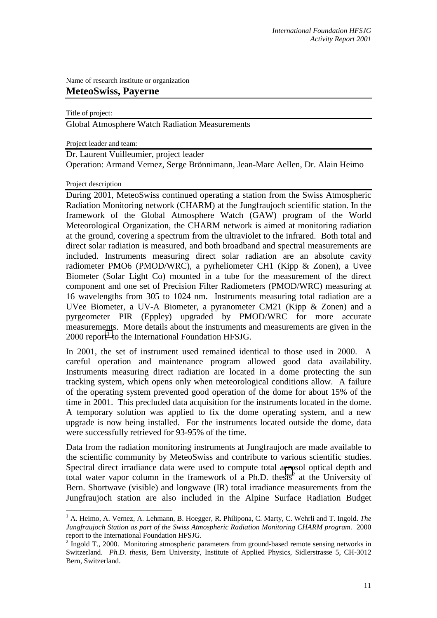Name of research institute or organization

## **MeteoSwiss, Payerne**

Title of project:

Global Atmosphere Watch Radiation Measurements

Project leader and team:

Dr. Laurent Vuilleumier, project leader

Operation: Armand Vernez, Serge Brönnimann, Jean-Marc Aellen, Dr. Alain Heimo

## Project description

 $\overline{a}$ 

During 2001, MeteoSwiss continued operating a station from the Swiss Atmospheric Radiation Monitoring network (CHARM) at the Jungfraujoch scientific station. In the framework of the Global Atmosphere Watch (GAW) program of the World Meteorological Organization, the CHARM network is aimed at monitoring radiation at the ground, covering a spectrum from the ultraviolet to the infrared. Both total and direct solar radiation is measured, and both broadband and spectral measurements are included. Instruments measuring direct solar radiation are an absolute cavity radiometer PMO6 (PMOD/WRC), a pyrheliometer CH1 (Kipp & Zonen), a Uvee Biometer (Solar Light Co) mounted in a tube for the measurement of the direct component and one set of Precision Filter Radiometers (PMOD/WRC) measuring at 16 wavelengths from 305 to 1024 nm. Instruments measuring total radiation are a UVee Biometer, a UV-A Biometer, a pyranometer CM21 (Kipp & Zonen) and a pyrgeometer PIR (Eppley) upgraded by PMOD/WRC for more accurate measurements. More details about the instruments and measurements are given in the  $2000$  report<sup>1</sup> to the International Foundation HFSJG.

In 2001, the set of instrument used remained identical to those used in 2000. A careful operation and maintenance program allowed good data availability. Instruments measuring direct radiation are located in a dome protecting the sun tracking system, which opens only when meteorological conditions allow. A failure of the operating system prevented good operation of the dome for about 15% of the time in 2001. This precluded data acquisition for the instruments located in the dome. A temporary solution was applied to fix the dome operating system, and a new upgrade is now being installed. For the instruments located outside the dome, data were successfully retrieved for 93-95% of the time.

Data from the radiation monitoring instruments at Jungfraujoch are made available to the scientific community by MeteoSwiss and contribute to various scientific studies. Spectral direct irradiance data were used to compute total aerosol optical depth and total water vapor column in the framework of a Ph.D. thesis<sup>2</sup> at the University of Bern. Shortwave (visible) and longwave (IR) total irradiance measurements from the Jungfraujoch station are also included in the Alpine Surface Radiation Budget

<sup>&</sup>lt;sup>1</sup> A. Heimo, A. Vernez, A. Lehmann, B. Hoegger, R. Philipona, C. Marty, C. Wehrli and T. Ingold. The *Jungfraujoch Station as part of the Swiss Atmospheric Radiation Monitoring CHARM program*. 2000 report to the International Foundation HFSJG.

 $2 \text{ Ingold T.}$ , 2000. Monitoring atmospheric parameters from ground-based remote sensing networks in Switzerland. *Ph.D. thesis*, Bern University, Institute of Applied Physics, Sidlerstrasse 5, CH-3012 Bern, Switzerland.